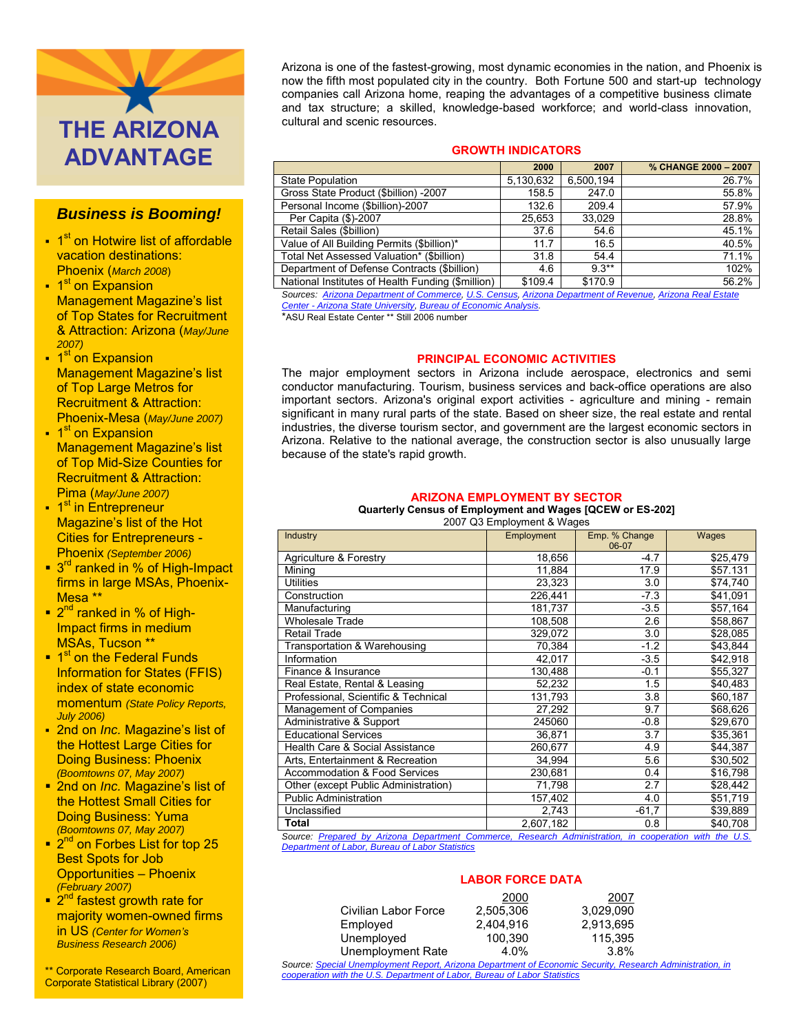

# *Business is Booming!*

- 1<sup>st</sup> on Hotwire list of affordable vacation destinations: Phoenix (*March 2008*)
- 1<sup>st</sup> on Expansion Management Magazine's list of Top States for Recruitment & Attraction: Arizona (*May/June 2007)*
- 1<sup>st</sup> on Expansion Management Magazine's list of Top Large Metros for Recruitment & Attraction: Phoenix-Mesa (*May/June 2007)*
- <sup>1</sup> on Expansion Management Magazine's list of Top Mid-Size Counties for Recruitment & Attraction: Pima (*May/June 2007)*
- <sup>st</sup> in Entrepreneur Magazine's list of the Hot Cities for Entrepreneurs - Phoenix *(September 2006)*
- 3<sup>rd</sup> ranked in % of High-Impact firms in large MSAs, Phoenix-Mesa \*\*
- 2<sup>nd</sup> ranked in % of High-Impact firms in medium MSAs, Tucson \*\*
- 1<sup>st</sup> on the Federal Funds Information for States (FFIS) index of state economic momentum *(State Policy Reports, July 2006)*
- 2nd on *Inc.* Magazine's list of the Hottest Large Cities for Doing Business: Phoenix *(Boomtowns 07, May 2007)*
- **2nd on** *Inc.* **Magazine's list of** the Hottest Small Cities for Doing Business: Yuma *(Boomtowns 07, May 2007)*
- 2<sup>nd</sup> on Forbes List for top 25 Best Spots for Job Opportunities – Phoenix *(February 2007)*
- 2<sup>nd</sup> fastest growth rate for majority women-owned firms in US *(Center for Women's Business Research 2006)*

\*\* Corporate Research Board, American Corporate Statistical Library (2007)

Arizona is one of the fastest-growing, most dynamic economies in the nation, and Phoenix is now the fifth most populated city in the country. Both Fortune 500 and start-up technology companies call Arizona home, reaping the advantages of a competitive business climate and tax structure; a skilled, knowledge-based workforce; and world-class innovation, cultural and scenic resources.

# **GROWTH INDICATORS**

|                                                   | 2000      | 2007      | % CHANGE 2000 - 2007 |
|---------------------------------------------------|-----------|-----------|----------------------|
| <b>State Population</b>                           | 5,130,632 | 6.500.194 | 26.7%                |
| Gross State Product (\$billion) -2007             | 158.5     | 247.0     | 55.8%                |
| Personal Income (\$billion)-2007                  | 132.6     | 209.4     | 57.9%                |
| Per Capita (\$)-2007                              | 25.653    | 33.029    | 28.8%                |
| Retail Sales (\$billion)                          | 37.6      | 54.6      | 45.1%                |
| Value of All Building Permits (\$billion)*        | 11.7      | 16.5      | 40.5%                |
| Total Net Assessed Valuation* (\$billion)         | 31.8      | 54.4      | 71.1%                |
| Department of Defense Contracts (\$billion)       | 4.6       | $9.3***$  | 102%                 |
| National Institutes of Health Funding (\$million) | \$109.4   | \$170.9   | 56.2%                |

*Sources: [Arizona Department of C](http://www.workforce.az.gov/?PAGEID=67&SUBID=137)ommerce[, U.S. Census,](http://www.census.gov/) [Arizona Department of Revenue,](http://www.azdor.gov/ResearchStats/Researchmainmenu.asp) [Arizona Real Estate](http://www.poly.asu.edu/arec/) Center - [Arizona State University,](http://www.poly.asu.edu/arec/) [Bureau of Economic Analysis.](http://www.bea.gov/bea/regional/spi/default.cfm)*

\*ASU Real Estate Center \*\* Still 2006 number

# **PRINCIPAL ECONOMIC ACTIVITIES**

The major employment sectors in Arizona include aerospace, electronics and semi conductor manufacturing. Tourism, business services and back-office operations are also important sectors. Arizona's original export activities - agriculture and mining - remain significant in many rural parts of the state. Based on sheer size, the real estate and rental industries, the diverse tourism sector, and government are the largest economic sectors in Arizona. Relative to the national average, the construction sector is also unusually large because of the state's rapid growth.

## **ARIZONA EMPLOYMENT BY SECTOR**

## **Quarterly Census of Employment and Wages [QCEW or ES-202]**

2007 O3 Employment & Wages

| Industry                                 | $2001$ and $20$ in provincing a verified<br>Employment | Emp. % Change | Wages    |  |
|------------------------------------------|--------------------------------------------------------|---------------|----------|--|
|                                          |                                                        | 06-07         |          |  |
| Agriculture & Forestry                   | 18,656                                                 | $-4.7$        | \$25,479 |  |
| Mining                                   | 11,884                                                 | 17.9          | \$57.131 |  |
| Utilities                                | 23,323                                                 | 3.0           | \$74,740 |  |
| Construction                             | 226,441                                                | $-7.3$        | \$41,091 |  |
| Manufacturing                            | 181,737                                                | $-3.5$        | \$57,164 |  |
| <b>Wholesale Trade</b>                   | 108,508                                                | 2.6           | \$58,867 |  |
| Retail Trade                             | 329,072                                                | 3.0           | \$28,085 |  |
| Transportation & Warehousing             | 70,384                                                 | $-1.2$        | \$43,844 |  |
| Information                              | 42,017                                                 | $-3.5$        | \$42,918 |  |
| Finance & Insurance                      | 130,488                                                | $-0.1$        | \$55,327 |  |
| Real Estate, Rental & Leasing            | 52,232                                                 | 1.5           | \$40,483 |  |
| Professional, Scientific & Technical     | 131,793                                                | 3.8           | \$60,187 |  |
| Management of Companies                  | 27,292                                                 | 9.7           | \$68,626 |  |
| Administrative & Support                 | 245060                                                 | $-0.8$        | \$29,670 |  |
| <b>Educational Services</b>              | 36,871                                                 | 3.7           | \$35,361 |  |
| Health Care & Social Assistance          | 260,677                                                | 4.9           | \$44,387 |  |
| Arts, Entertainment & Recreation         | 34,994                                                 | 5.6           | \$30,502 |  |
| <b>Accommodation &amp; Food Services</b> | 230,681                                                | 0.4           | \$16,798 |  |
| Other (except Public Administration)     | 71,798                                                 | 2.7           | \$28,442 |  |
| Public Administration                    | 157,402                                                | 4.0           | \$51,719 |  |
| Unclassified                             | 2,743                                                  | $-61,7$       | \$39,889 |  |
| Total                                    | 2,607,182                                              | 0.8           | \$40,708 |  |

*Source: [Prepared by Arizona Department Commerce, Research Administration, in cooperation with the U.S.](http://www.workforce.az.gov/?PAGEID=67&SUBID=142)  [Department of Labor, Bureau of Labor Statistics](http://www.workforce.az.gov/?PAGEID=67&SUBID=142)*

# **LABOR FORCE DATA**

|                                                                                             | 2000      | 2007      |  |
|---------------------------------------------------------------------------------------------|-----------|-----------|--|
| Civilian Labor Force                                                                        | 2,505,306 | 3.029.090 |  |
| Employed                                                                                    | 2.404.916 | 2,913,695 |  |
| Unemployed                                                                                  | 100.390   | 115,395   |  |
| Unemployment Rate                                                                           | 4.0%      | $3.8\%$   |  |
| urce: Special Unemployment Report, Arizona Department of Economic Security, Research Admini |           |           |  |

*Source[: Special Unemployment Report, Arizona Department of Economic Security, Research Administration, in](http://www.workforce.az.gov/?PAGEID=67&SUBID=142)  [cooperation with the U.S. Department of Labor, Bureau of Labor Statistics](http://www.workforce.az.gov/?PAGEID=67&SUBID=142)*